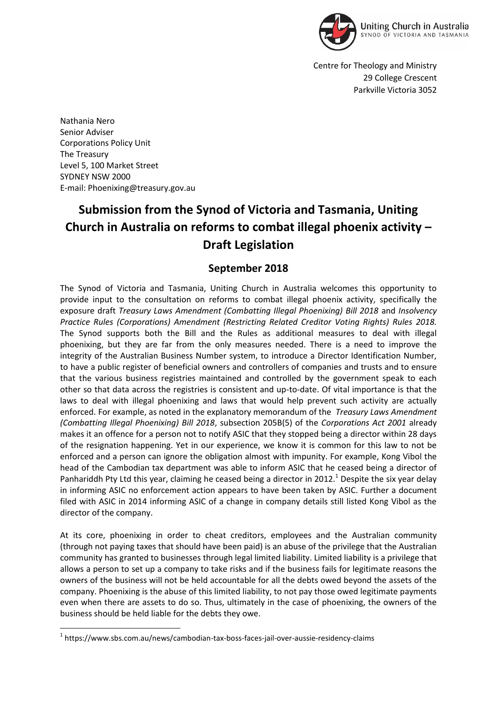

Centre for Theology and Ministry 29 College Crescent Parkville Victoria 3052

Nathania Nero Senior Adviser Corporations Policy Unit The Treasury Level 5, 100 Market Street SYDNEY NSW 2000 E-mail: Phoenixing@treasury.gov.au

## **Submission from the Synod of Victoria and Tasmania, Uniting Church in Australia on reforms to combat illegal phoenix activity – Draft Legislation**

## **September 2018**

The Synod of Victoria and Tasmania, Uniting Church in Australia welcomes this opportunity to provide input to the consultation on reforms to combat illegal phoenix activity, specifically the exposure draft *Treasury Laws Amendment (Combatting Illegal Phoenixing) Bill 2018* and *Insolvency Practice Rules (Corporations) Amendment (Restricting Related Creditor Voting Rights) Rules 2018.* The Synod supports both the Bill and the Rules as additional measures to deal with illegal phoenixing, but they are far from the only measures needed. There is a need to improve the integrity of the Australian Business Number system, to introduce a Director Identification Number, to have a public register of beneficial owners and controllers of companies and trusts and to ensure that the various business registries maintained and controlled by the government speak to each other so that data across the registries is consistent and up-to-date. Of vital importance is that the laws to deal with illegal phoenixing and laws that would help prevent such activity are actually enforced. For example, as noted in the explanatory memorandum of the *Treasury Laws Amendment (Combatting Illegal Phoenixing) Bill 2018*, subsection 205B(5) of the *Corporations Act 2001* already makes it an offence for a person not to notify ASIC that they stopped being a director within 28 days of the resignation happening. Yet in our experience, we know it is common for this law to not be enforced and a person can ignore the obligation almost with impunity. For example, Kong Vibol the head of the Cambodian tax department was able to inform ASIC that he ceased being a director of Panhariddh Pty Ltd this year, claiming he ceased being a director in 2012.<sup>1</sup> Despite the six year delay in informing ASIC no enforcement action appears to have been taken by ASIC. Further a document filed with ASIC in 2014 informing ASIC of a change in company details still listed Kong Vibol as the director of the company.

At its core, phoenixing in order to cheat creditors, employees and the Australian community (through not paying taxes that should have been paid) is an abuse of the privilege that the Australian community has granted to businesses through legal limited liability. Limited liability is a privilege that allows a person to set up a company to take risks and if the business fails for legitimate reasons the owners of the business will not be held accountable for all the debts owed beyond the assets of the company. Phoenixing is the abuse of this limited liability, to not pay those owed legitimate payments even when there are assets to do so. Thus, ultimately in the case of phoenixing, the owners of the business should be held liable for the debts they owe.

**.** 

<sup>1</sup> https://www.sbs.com.au/news/cambodian-tax-boss-faces-jail-over-aussie-residency-claims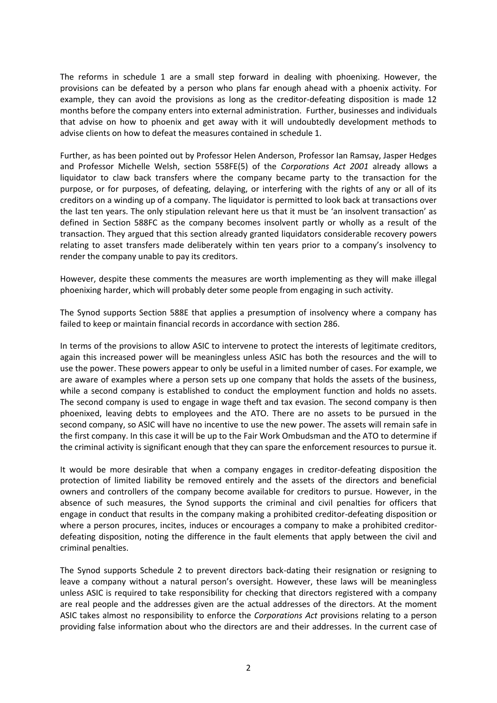The reforms in schedule 1 are a small step forward in dealing with phoenixing. However, the provisions can be defeated by a person who plans far enough ahead with a phoenix activity. For example, they can avoid the provisions as long as the creditor-defeating disposition is made 12 months before the company enters into external administration. Further, businesses and individuals that advise on how to phoenix and get away with it will undoubtedly development methods to advise clients on how to defeat the measures contained in schedule 1.

Further, as has been pointed out by Professor Helen Anderson, Professor Ian Ramsay, Jasper Hedges and Professor Michelle Welsh, section 558FE(5) of the *Corporations Act 2001* already allows a liquidator to claw back transfers where the company became party to the transaction for the purpose, or for purposes, of defeating, delaying, or interfering with the rights of any or all of its creditors on a winding up of a company. The liquidator is permitted to look back at transactions over the last ten years. The only stipulation relevant here us that it must be 'an insolvent transaction' as defined in Section 588FC as the company becomes insolvent partly or wholly as a result of the transaction. They argued that this section already granted liquidators considerable recovery powers relating to asset transfers made deliberately within ten years prior to a company's insolvency to render the company unable to pay its creditors.

However, despite these comments the measures are worth implementing as they will make illegal phoenixing harder, which will probably deter some people from engaging in such activity.

The Synod supports Section 588E that applies a presumption of insolvency where a company has failed to keep or maintain financial records in accordance with section 286.

In terms of the provisions to allow ASIC to intervene to protect the interests of legitimate creditors, again this increased power will be meaningless unless ASIC has both the resources and the will to use the power. These powers appear to only be useful in a limited number of cases. For example, we are aware of examples where a person sets up one company that holds the assets of the business, while a second company is established to conduct the employment function and holds no assets. The second company is used to engage in wage theft and tax evasion. The second company is then phoenixed, leaving debts to employees and the ATO. There are no assets to be pursued in the second company, so ASIC will have no incentive to use the new power. The assets will remain safe in the first company. In this case it will be up to the Fair Work Ombudsman and the ATO to determine if the criminal activity is significant enough that they can spare the enforcement resources to pursue it.

It would be more desirable that when a company engages in creditor-defeating disposition the protection of limited liability be removed entirely and the assets of the directors and beneficial owners and controllers of the company become available for creditors to pursue. However, in the absence of such measures, the Synod supports the criminal and civil penalties for officers that engage in conduct that results in the company making a prohibited creditor-defeating disposition or where a person procures, incites, induces or encourages a company to make a prohibited creditordefeating disposition, noting the difference in the fault elements that apply between the civil and criminal penalties.

The Synod supports Schedule 2 to prevent directors back-dating their resignation or resigning to leave a company without a natural person's oversight. However, these laws will be meaningless unless ASIC is required to take responsibility for checking that directors registered with a company are real people and the addresses given are the actual addresses of the directors. At the moment ASIC takes almost no responsibility to enforce the *Corporations Act* provisions relating to a person providing false information about who the directors are and their addresses. In the current case of